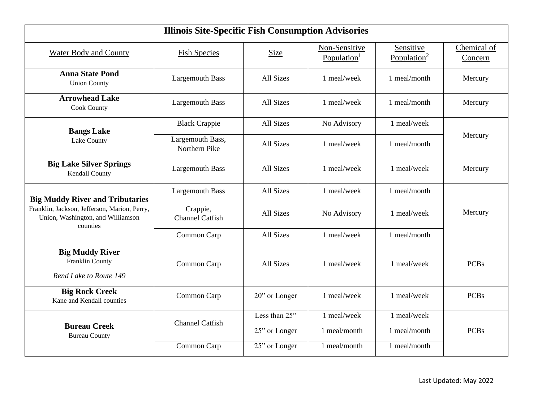| <b>Illinois Site-Specific Fish Consumption Advisories</b>                                     |                                    |                  |                                          |                                      |                        |  |  |
|-----------------------------------------------------------------------------------------------|------------------------------------|------------------|------------------------------------------|--------------------------------------|------------------------|--|--|
| <b>Water Body and County</b>                                                                  | <b>Fish Species</b>                | Size             | Non-Sensitive<br>Population <sup>1</sup> | Sensitive<br>Population <sup>2</sup> | Chemical of<br>Concern |  |  |
| <b>Anna State Pond</b><br><b>Union County</b>                                                 | <b>Largemouth Bass</b>             | All Sizes        | 1 meal/week                              | 1 meal/month                         | Mercury                |  |  |
| <b>Arrowhead Lake</b><br><b>Cook County</b>                                                   | <b>Largemouth Bass</b>             | All Sizes        | 1 meal/week                              | 1 meal/month                         | Mercury                |  |  |
| <b>Bangs Lake</b>                                                                             | <b>Black Crappie</b>               | All Sizes        | No Advisory                              | 1 meal/week                          |                        |  |  |
| Lake County                                                                                   | Largemouth Bass,<br>Northern Pike  | <b>All Sizes</b> | 1 meal/week                              | 1 meal/month                         | Mercury                |  |  |
| <b>Big Lake Silver Springs</b><br>Kendall County                                              | <b>Largemouth Bass</b>             | All Sizes        | 1 meal/week                              | 1 meal/week                          | Mercury                |  |  |
| <b>Big Muddy River and Tributaries</b>                                                        | <b>Largemouth Bass</b>             | All Sizes        | 1 meal/week                              | 1 meal/month                         |                        |  |  |
| Franklin, Jackson, Jefferson, Marion, Perry,<br>Union, Washington, and Williamson<br>counties | Crappie,<br><b>Channel Catfish</b> | All Sizes        | No Advisory                              | 1 meal/week                          | Mercury                |  |  |
|                                                                                               | Common Carp                        | All Sizes        | 1 meal/week                              | 1 meal/month                         |                        |  |  |
| <b>Big Muddy River</b><br>Franklin County<br>Rend Lake to Route 149                           | Common Carp                        | All Sizes        | 1 meal/week                              | 1 meal/week                          | <b>PCBs</b>            |  |  |
| <b>Big Rock Creek</b><br>Kane and Kendall counties                                            | Common Carp                        | 20" or Longer    | 1 meal/week                              | 1 meal/week                          | <b>PCBs</b>            |  |  |
|                                                                                               | <b>Channel Catfish</b>             | Less than 25"    | 1 meal/week                              | 1 meal/week                          |                        |  |  |
| <b>Bureau Creek</b><br><b>Bureau County</b>                                                   |                                    | 25" or Longer    | 1 meal/month                             | 1 meal/month                         | <b>PCBs</b>            |  |  |
|                                                                                               | Common Carp                        | 25" or Longer    | 1 meal/month                             | 1 meal/month                         |                        |  |  |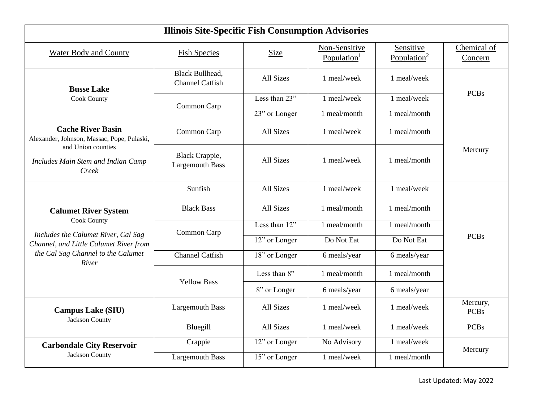| <b>Illinois Site-Specific Fish Consumption Advisories</b>                                    |                                                  |               |                                          |                                      |                         |  |  |
|----------------------------------------------------------------------------------------------|--------------------------------------------------|---------------|------------------------------------------|--------------------------------------|-------------------------|--|--|
| <b>Water Body and County</b>                                                                 | <b>Fish Species</b>                              | Size          | Non-Sensitive<br>Population <sup>1</sup> | Sensitive<br>Population <sup>2</sup> | Chemical of<br>Concern  |  |  |
| <b>Busse Lake</b>                                                                            | <b>Black Bullhead,</b><br><b>Channel Catfish</b> | All Sizes     | 1 meal/week                              | 1 meal/week                          |                         |  |  |
| <b>Cook County</b>                                                                           | Common Carp                                      | Less than 23" | 1 meal/week                              | 1 meal/week                          | <b>PCBs</b>             |  |  |
|                                                                                              |                                                  | 23" or Longer | 1 meal/month                             | 1 meal/month                         |                         |  |  |
| <b>Cache River Basin</b><br>Alexander, Johnson, Massac, Pope, Pulaski,<br>and Union counties | Common Carp                                      | All Sizes     | 1 meal/week                              | 1 meal/month                         |                         |  |  |
| Includes Main Stem and Indian Camp<br>Creek                                                  | Black Crappie,<br><b>Largemouth Bass</b>         | All Sizes     | 1 meal/week                              | 1 meal/month                         | Mercury                 |  |  |
|                                                                                              | Sunfish                                          | All Sizes     | 1 meal/week                              | 1 meal/week                          |                         |  |  |
| <b>Calumet River System</b>                                                                  | <b>Black Bass</b>                                | All Sizes     | 1 meal/month                             | 1 meal/month                         |                         |  |  |
| Cook County                                                                                  | Common Carp                                      | Less than 12" | 1 meal/month                             | 1 meal/month                         |                         |  |  |
| Includes the Calumet River, Cal Sag<br>Channel, and Little Calumet River from                |                                                  | 12" or Longer | Do Not Eat                               | Do Not Eat                           | <b>PCBs</b>             |  |  |
| the Cal Sag Channel to the Calumet<br>River                                                  | <b>Channel Catfish</b>                           | 18" or Longer | 6 meals/year                             | 6 meals/year                         |                         |  |  |
|                                                                                              | <b>Yellow Bass</b>                               | Less than 8"  | 1 meal/month                             | 1 meal/month                         |                         |  |  |
|                                                                                              |                                                  | 8" or Longer  | 6 meals/year                             | 6 meals/year                         |                         |  |  |
| <b>Campus Lake (SIU)</b><br>Jackson County                                                   | <b>Largemouth Bass</b>                           | All Sizes     | 1 meal/week                              | 1 meal/week                          | Mercury,<br><b>PCBs</b> |  |  |
|                                                                                              | Bluegill                                         | All Sizes     | 1 meal/week                              | 1 meal/week                          | <b>PCBs</b>             |  |  |
| <b>Carbondale City Reservoir</b>                                                             | Crappie                                          | 12" or Longer | No Advisory                              | 1 meal/week                          | Mercury                 |  |  |
| Jackson County                                                                               | <b>Largemouth Bass</b>                           | 15" or Longer | 1 meal/week                              | 1 meal/month                         |                         |  |  |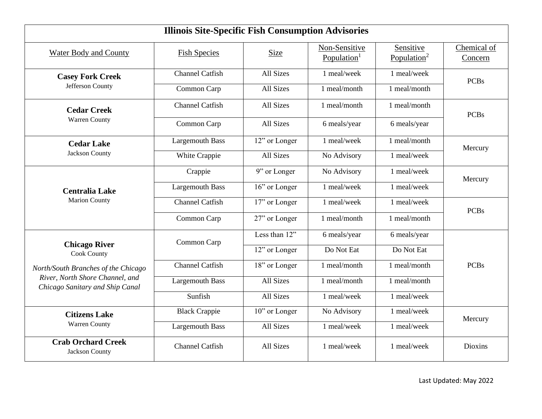| <b>Illinois Site-Specific Fish Consumption Advisories</b>          |                        |               |                                          |                                      |                        |  |  |  |
|--------------------------------------------------------------------|------------------------|---------------|------------------------------------------|--------------------------------------|------------------------|--|--|--|
| <b>Water Body and County</b>                                       | <b>Fish Species</b>    | <b>Size</b>   | Non-Sensitive<br>Population <sup>1</sup> | Sensitive<br>Population <sup>2</sup> | Chemical of<br>Concern |  |  |  |
| <b>Casey Fork Creek</b>                                            | <b>Channel Catfish</b> | All Sizes     | 1 meal/week                              | 1 meal/week                          | <b>PCBs</b>            |  |  |  |
| Jefferson County                                                   | Common Carp            | All Sizes     | 1 meal/month                             | 1 meal/month                         |                        |  |  |  |
| <b>Cedar Creek</b>                                                 | <b>Channel Catfish</b> | All Sizes     | 1 meal/month                             | 1 meal/month                         | <b>PCBs</b>            |  |  |  |
| Warren County                                                      | Common Carp            | All Sizes     | 6 meals/year                             | 6 meals/year                         |                        |  |  |  |
| <b>Cedar Lake</b>                                                  | <b>Largemouth Bass</b> | 12" or Longer | 1 meal/week                              | 1 meal/month                         | Mercury                |  |  |  |
| Jackson County                                                     | White Crappie          | All Sizes     | No Advisory                              | 1 meal/week                          |                        |  |  |  |
| <b>Centralia Lake</b>                                              | Crappie                | 9" or Longer  | No Advisory                              | 1 meal/week                          | Mercury                |  |  |  |
|                                                                    | <b>Largemouth Bass</b> | 16" or Longer | 1 meal/week                              | 1 meal/week                          |                        |  |  |  |
| <b>Marion County</b>                                               | <b>Channel Catfish</b> | 17" or Longer | 1 meal/week                              | 1 meal/week                          | <b>PCBs</b>            |  |  |  |
|                                                                    | Common Carp            | 27" or Longer | 1 meal/month                             | 1 meal/month                         |                        |  |  |  |
|                                                                    | Common Carp            | Less than 12" | 6 meals/year                             | 6 meals/year                         |                        |  |  |  |
| <b>Chicago River</b><br>Cook County                                |                        | 12" or Longer | Do Not Eat                               | Do Not Eat                           |                        |  |  |  |
| North/South Branches of the Chicago                                | <b>Channel Catfish</b> | 18" or Longer | 1 meal/month                             | 1 meal/month                         | <b>PCBs</b>            |  |  |  |
| River, North Shore Channel, and<br>Chicago Sanitary and Ship Canal | <b>Largemouth Bass</b> | All Sizes     | 1 meal/month                             | 1 meal/month                         |                        |  |  |  |
|                                                                    | Sunfish                | All Sizes     | 1 meal/week                              | 1 meal/week                          |                        |  |  |  |
| <b>Citizens Lake</b>                                               | <b>Black Crappie</b>   | 10" or Longer | No Advisory                              | 1 meal/week                          | Mercury                |  |  |  |
| Warren County                                                      | <b>Largemouth Bass</b> | All Sizes     | 1 meal/week                              | 1 meal/week                          |                        |  |  |  |
| <b>Crab Orchard Creek</b><br>Jackson County                        | <b>Channel Catfish</b> | All Sizes     | 1 meal/week                              | 1 meal/week                          | Dioxins                |  |  |  |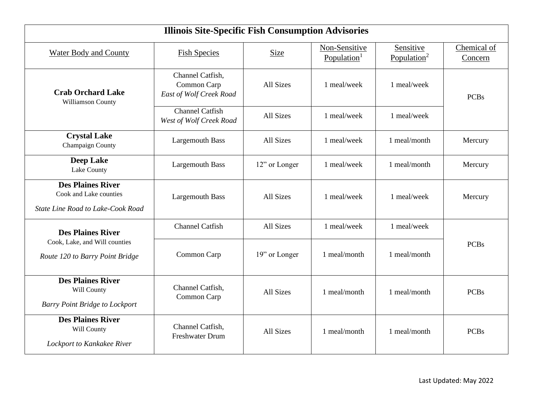| <b>Illinois Site-Specific Fish Consumption Advisories</b>                               |                                                            |                  |                                          |                                      |                        |  |  |  |
|-----------------------------------------------------------------------------------------|------------------------------------------------------------|------------------|------------------------------------------|--------------------------------------|------------------------|--|--|--|
| <b>Water Body and County</b>                                                            | <b>Fish Species</b>                                        | Size             | Non-Sensitive<br>Population <sup>1</sup> | Sensitive<br>Population <sup>2</sup> | Chemical of<br>Concern |  |  |  |
| <b>Crab Orchard Lake</b><br>Williamson County                                           | Channel Catfish,<br>Common Carp<br>East of Wolf Creek Road | All Sizes        | 1 meal/week                              | 1 meal/week                          | <b>PCBs</b>            |  |  |  |
|                                                                                         | <b>Channel Catfish</b><br>West of Wolf Creek Road          | All Sizes        | 1 meal/week                              | 1 meal/week                          |                        |  |  |  |
| <b>Crystal Lake</b><br>Champaign County                                                 | <b>Largemouth Bass</b>                                     | All Sizes        | 1 meal/week                              | 1 meal/month                         | Mercury                |  |  |  |
| <b>Deep Lake</b><br>Lake County                                                         | <b>Largemouth Bass</b>                                     | 12" or Longer    | 1 meal/week                              | 1 meal/month                         | Mercury                |  |  |  |
| <b>Des Plaines River</b><br>Cook and Lake counties<br>State Line Road to Lake-Cook Road | <b>Largemouth Bass</b>                                     | All Sizes        | 1 meal/week                              | 1 meal/week                          | Mercury                |  |  |  |
| <b>Des Plaines River</b>                                                                | <b>Channel Catfish</b>                                     | All Sizes        | 1 meal/week                              | 1 meal/week                          |                        |  |  |  |
| Cook, Lake, and Will counties<br>Route 120 to Barry Point Bridge                        | Common Carp                                                | 19" or Longer    | 1 meal/month                             | 1 meal/month                         | <b>PCBs</b>            |  |  |  |
| <b>Des Plaines River</b><br>Will County<br><b>Barry Point Bridge to Lockport</b>        | Channel Catfish,<br>Common Carp                            | <b>All Sizes</b> | 1 meal/month                             | 1 meal/month                         | <b>PCBs</b>            |  |  |  |
| <b>Des Plaines River</b><br>Will County<br>Lockport to Kankakee River                   | Channel Catfish,<br><b>Freshwater Drum</b>                 | All Sizes        | 1 meal/month                             | 1 meal/month                         | <b>PCBs</b>            |  |  |  |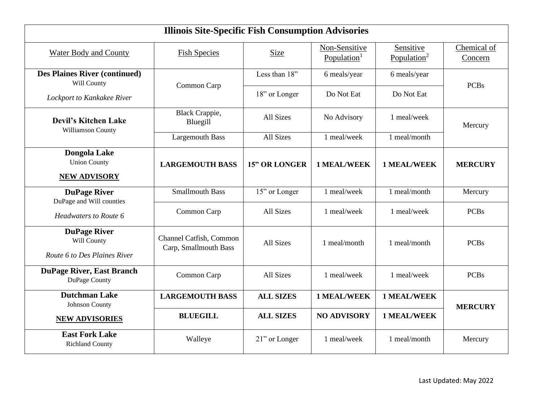| <b>Illinois Site-Specific Fish Consumption Advisories</b>          |                                                  |                      |                             |                                      |                        |  |  |  |
|--------------------------------------------------------------------|--------------------------------------------------|----------------------|-----------------------------|--------------------------------------|------------------------|--|--|--|
| <b>Water Body and County</b>                                       | <b>Fish Species</b>                              | Size                 | Non-Sensitive<br>Population | Sensitive<br>Population <sup>2</sup> | Chemical of<br>Concern |  |  |  |
| <b>Des Plaines River (continued)</b><br>Will County                |                                                  | Less than 18"        | 6 meals/year                | 6 meals/year                         | <b>PCBs</b>            |  |  |  |
| Lockport to Kankakee River                                         | Common Carp                                      | 18" or Longer        | Do Not Eat                  | Do Not Eat                           |                        |  |  |  |
| <b>Devil's Kitchen Lake</b><br>Williamson County                   | <b>Black Crappie,</b><br>Bluegill                | All Sizes            | No Advisory                 | 1 meal/week                          | Mercury                |  |  |  |
|                                                                    | <b>Largemouth Bass</b>                           | All Sizes            | 1 meal/week                 | 1 meal/month                         |                        |  |  |  |
| Dongola Lake<br><b>Union County</b>                                | <b>LARGEMOUTH BASS</b>                           | <b>15" OR LONGER</b> | <b>1 MEAL/WEEK</b>          | <b>1 MEAL/WEEK</b>                   | <b>MERCURY</b>         |  |  |  |
| <b>NEW ADVISORY</b>                                                |                                                  |                      |                             |                                      |                        |  |  |  |
| <b>DuPage River</b><br>DuPage and Will counties                    | <b>Smallmouth Bass</b>                           | 15" or Longer        | 1 meal/week                 | 1 meal/month                         | Mercury                |  |  |  |
| Headwaters to Route 6                                              | Common Carp                                      | <b>All Sizes</b>     | 1 meal/week                 | 1 meal/week                          | <b>PCBs</b>            |  |  |  |
| <b>DuPage River</b><br>Will County<br>Route 6 to Des Plaines River | Channel Catfish, Common<br>Carp, Smallmouth Bass | All Sizes            | 1 meal/month                | 1 meal/month                         | <b>PCBs</b>            |  |  |  |
| <b>DuPage River, East Branch</b><br>DuPage County                  | Common Carp                                      | All Sizes            | 1 meal/week                 | 1 meal/week                          | <b>PCBs</b>            |  |  |  |
| <b>Dutchman Lake</b><br>Johnson County                             | <b>LARGEMOUTH BASS</b>                           | <b>ALL SIZES</b>     | <b>1 MEAL/WEEK</b>          | <b>1 MEAL/WEEK</b>                   | <b>MERCURY</b>         |  |  |  |
| <b>NEW ADVISORIES</b>                                              | <b>BLUEGILL</b>                                  | <b>ALL SIZES</b>     | <b>NO ADVISORY</b>          | <b>1 MEAL/WEEK</b>                   |                        |  |  |  |
| <b>East Fork Lake</b><br><b>Richland County</b>                    | Walleye                                          | 21" or Longer        | 1 meal/week                 | 1 meal/month                         | Mercury                |  |  |  |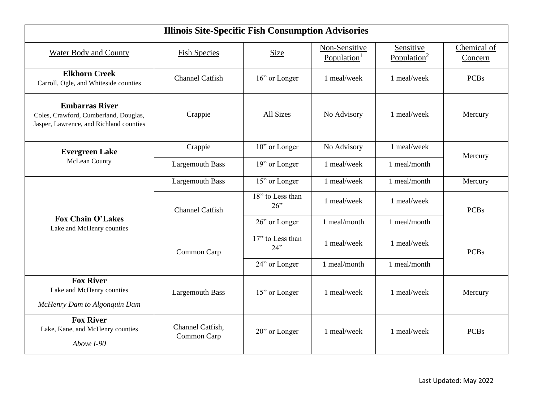| <b>Illinois Site-Specific Fish Consumption Advisories</b>                                                 |                                 |                         |                                          |                                      |                        |  |  |
|-----------------------------------------------------------------------------------------------------------|---------------------------------|-------------------------|------------------------------------------|--------------------------------------|------------------------|--|--|
| <b>Water Body and County</b>                                                                              | <b>Fish Species</b>             | Size                    | Non-Sensitive<br>Population <sup>1</sup> | Sensitive<br>Population <sup>2</sup> | Chemical of<br>Concern |  |  |
| <b>Elkhorn Creek</b><br>Carroll, Ogle, and Whiteside counties                                             | <b>Channel Catfish</b>          | 16" or Longer           | 1 meal/week                              | 1 meal/week                          | <b>PCBs</b>            |  |  |
| <b>Embarras River</b><br>Coles, Crawford, Cumberland, Douglas,<br>Jasper, Lawrence, and Richland counties | Crappie                         | All Sizes               | No Advisory                              | 1 meal/week                          | Mercury                |  |  |
| <b>Evergreen Lake</b>                                                                                     | Crappie                         | 10" or Longer           | No Advisory                              | 1 meal/week                          |                        |  |  |
| McLean County                                                                                             | <b>Largemouth Bass</b>          | 19" or Longer           | 1 meal/week                              | 1 meal/month                         | Mercury                |  |  |
|                                                                                                           | <b>Largemouth Bass</b>          | 15" or Longer           | 1 meal/week                              | 1 meal/month                         | Mercury                |  |  |
|                                                                                                           | <b>Channel Catfish</b>          | 18" to Less than<br>26" | 1 meal/week                              | 1 meal/week                          | <b>PCBs</b>            |  |  |
| <b>Fox Chain O'Lakes</b><br>Lake and McHenry counties                                                     |                                 | 26" or Longer           | 1 meal/month                             | 1 meal/month                         |                        |  |  |
|                                                                                                           | Common Carp                     | 17" to Less than<br>24" | 1 meal/week                              | 1 meal/week                          | <b>PCBs</b>            |  |  |
|                                                                                                           |                                 | 24" or Longer           | 1 meal/month                             | 1 meal/month                         |                        |  |  |
| <b>Fox River</b><br>Lake and McHenry counties<br>McHenry Dam to Algonquin Dam                             | <b>Largemouth Bass</b>          | 15" or Longer           | 1 meal/week                              | 1 meal/week                          | Mercury                |  |  |
| <b>Fox River</b><br>Lake, Kane, and McHenry counties<br>Above I-90                                        | Channel Catfish,<br>Common Carp | 20" or Longer           | 1 meal/week                              | 1 meal/week                          | <b>PCBs</b>            |  |  |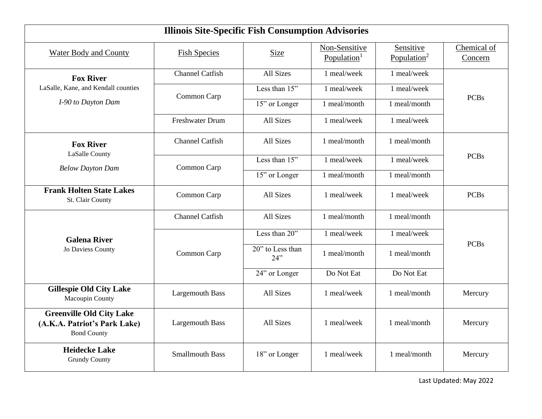| <b>Illinois Site-Specific Fish Consumption Advisories</b>                             |                        |                         |                                          |                                      |                        |  |  |
|---------------------------------------------------------------------------------------|------------------------|-------------------------|------------------------------------------|--------------------------------------|------------------------|--|--|
| <b>Water Body and County</b>                                                          | <b>Fish Species</b>    | Size                    | Non-Sensitive<br>Population <sup>1</sup> | Sensitive<br>Population <sup>2</sup> | Chemical of<br>Concern |  |  |
| <b>Fox River</b>                                                                      | <b>Channel Catfish</b> | <b>All Sizes</b>        | 1 meal/week                              | 1 meal/week                          |                        |  |  |
| LaSalle, Kane, and Kendall counties                                                   | Common Carp            | Less than 15"           | 1 meal/week                              | 1 meal/week                          |                        |  |  |
| I-90 to Dayton Dam                                                                    |                        | 15" or Longer           | 1 meal/month                             | 1 meal/month                         | <b>PCBs</b>            |  |  |
|                                                                                       | <b>Freshwater Drum</b> | <b>All Sizes</b>        | 1 meal/week                              | 1 meal/week                          |                        |  |  |
| <b>Fox River</b>                                                                      | <b>Channel Catfish</b> | All Sizes               | 1 meal/month                             | 1 meal/month                         |                        |  |  |
| LaSalle County                                                                        |                        | Less than 15"           | 1 meal/week                              | 1 meal/week                          | <b>PCBs</b>            |  |  |
| <b>Below Dayton Dam</b>                                                               | Common Carp            | 15" or Longer           | 1 meal/month                             | 1 meal/month                         |                        |  |  |
| <b>Frank Holten State Lakes</b><br>St. Clair County                                   | Common Carp            | <b>All Sizes</b>        | 1 meal/week                              | 1 meal/week                          | <b>PCBs</b>            |  |  |
|                                                                                       | <b>Channel Catfish</b> | All Sizes               | 1 meal/month                             | 1 meal/month                         |                        |  |  |
| <b>Galena River</b>                                                                   |                        | Less than 20"           | 1 meal/week                              | 1 meal/week                          |                        |  |  |
| Jo Daviess County                                                                     | Common Carp            | 20" to Less than<br>24" | 1 meal/month                             | 1 meal/month                         | <b>PCBs</b>            |  |  |
|                                                                                       |                        | 24" or Longer           | Do Not Eat                               | Do Not Eat                           |                        |  |  |
| <b>Gillespie Old City Lake</b><br>Macoupin County                                     | <b>Largemouth Bass</b> | All Sizes               | 1 meal/week                              | 1 meal/month                         | Mercury                |  |  |
| <b>Greenville Old City Lake</b><br>(A.K.A. Patriot's Park Lake)<br><b>Bond County</b> | <b>Largemouth Bass</b> | <b>All Sizes</b>        | 1 meal/week                              | 1 meal/month                         | Mercury                |  |  |
| <b>Heidecke Lake</b><br><b>Grundy County</b>                                          | <b>Smallmouth Bass</b> | 18" or Longer           | 1 meal/week                              | 1 meal/month                         | Mercury                |  |  |

Last Updated: May 2022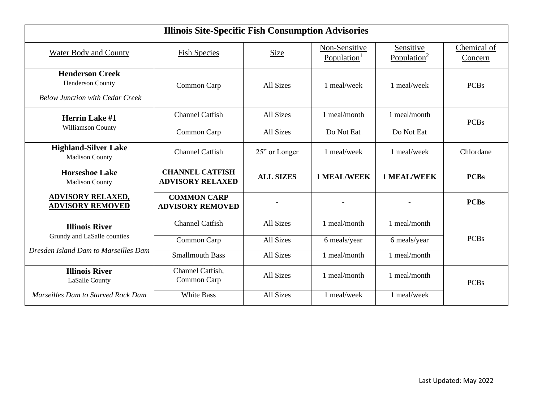| <b>Illinois Site-Specific Fish Consumption Advisories</b>                            |                                                   |                  |                                          |                                      |                        |  |  |  |
|--------------------------------------------------------------------------------------|---------------------------------------------------|------------------|------------------------------------------|--------------------------------------|------------------------|--|--|--|
| <b>Water Body and County</b>                                                         | <b>Fish Species</b>                               | Size             | Non-Sensitive<br>Population <sup>1</sup> | Sensitive<br>Population <sup>2</sup> | Chemical of<br>Concern |  |  |  |
| <b>Henderson Creek</b><br>Henderson County<br><b>Below Junction with Cedar Creek</b> | Common Carp                                       | All Sizes        | 1 meal/week                              | 1 meal/week                          | <b>PCBs</b>            |  |  |  |
| <b>Herrin Lake #1</b>                                                                | <b>Channel Catfish</b>                            | All Sizes        | 1 meal/month                             | 1 meal/month                         | <b>PCBs</b>            |  |  |  |
| Williamson County                                                                    | Common Carp                                       | All Sizes        | Do Not Eat                               | Do Not Eat                           |                        |  |  |  |
| <b>Highland-Silver Lake</b><br><b>Madison County</b>                                 | <b>Channel Catfish</b>                            | 25" or Longer    | 1 meal/week                              | 1 meal/week                          | Chlordane              |  |  |  |
| <b>Horseshoe Lake</b><br><b>Madison County</b>                                       | <b>CHANNEL CATFISH</b><br><b>ADVISORY RELAXED</b> | <b>ALL SIZES</b> | <b>1 MEAL/WEEK</b>                       | <b>1 MEAL/WEEK</b>                   | <b>PCBs</b>            |  |  |  |
| <b>ADVISORY RELAXED,</b><br><b>ADVISORY REMOVED</b>                                  | <b>COMMON CARP</b><br><b>ADVISORY REMOVED</b>     |                  |                                          |                                      | <b>PCBs</b>            |  |  |  |
| <b>Illinois River</b>                                                                | <b>Channel Catfish</b>                            | All Sizes        | 1 meal/month                             | 1 meal/month                         |                        |  |  |  |
| Grundy and LaSalle counties                                                          | Common Carp                                       | All Sizes        | 6 meals/year                             | 6 meals/year                         | <b>PCBs</b>            |  |  |  |
| Dresden Island Dam to Marseilles Dam                                                 | <b>Smallmouth Bass</b>                            | All Sizes        | 1 meal/month                             | 1 meal/month                         |                        |  |  |  |
| <b>Illinois River</b><br>LaSalle County                                              | Channel Catfish,<br>Common Carp                   | All Sizes        | 1 meal/month                             | 1 meal/month                         | <b>PCBs</b>            |  |  |  |
| Marseilles Dam to Starved Rock Dam                                                   | <b>White Bass</b>                                 | All Sizes        | 1 meal/week                              | 1 meal/week                          |                        |  |  |  |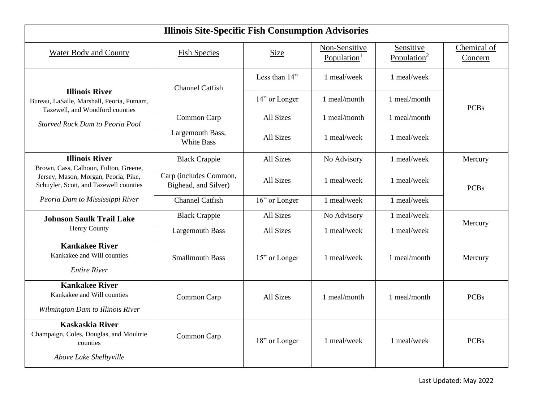|                                                                                                         | <b>Illinois Site-Specific Fish Consumption Advisories</b> |                  |                                          |                                      |                        |  |  |  |
|---------------------------------------------------------------------------------------------------------|-----------------------------------------------------------|------------------|------------------------------------------|--------------------------------------|------------------------|--|--|--|
| <b>Water Body and County</b>                                                                            | <b>Fish Species</b>                                       | Size             | Non-Sensitive<br>Population <sup>1</sup> | Sensitive<br>Population <sup>2</sup> | Chemical of<br>Concern |  |  |  |
|                                                                                                         | <b>Channel Catfish</b>                                    | Less than 14"    | 1 meal/week                              | 1 meal/week                          |                        |  |  |  |
| <b>Illinois River</b><br>Bureau, LaSalle, Marshall, Peoria, Putnam,<br>Tazewell, and Woodford counties  |                                                           | 14" or Longer    | 1 meal/month                             | 1 meal/month                         | <b>PCBs</b>            |  |  |  |
| <b>Starved Rock Dam to Peoria Pool</b>                                                                  | Common Carp                                               | All Sizes        | 1 meal/month                             | 1 meal/month                         |                        |  |  |  |
|                                                                                                         | Largemouth Bass,<br>White Bass                            | All Sizes        | 1 meal/week                              | 1 meal/week                          |                        |  |  |  |
| <b>Illinois River</b><br>Brown, Cass, Calhoun, Fulton, Greene,                                          | <b>Black Crappie</b>                                      | All Sizes        | No Advisory                              | 1 meal/week                          | Mercury                |  |  |  |
| Jersey, Mason, Morgan, Peoria, Pike,<br>Schuyler, Scott, and Tazewell counties                          | Carp (includes Common,<br>Bighead, and Silver)            | All Sizes        | 1 meal/week                              | 1 meal/week                          | <b>PCBs</b>            |  |  |  |
| Peoria Dam to Mississippi River                                                                         | <b>Channel Catfish</b>                                    | 16" or Longer    | 1 meal/week                              | 1 meal/week                          |                        |  |  |  |
| <b>Johnson Saulk Trail Lake</b>                                                                         | <b>Black Crappie</b>                                      | All Sizes        | No Advisory                              | 1 meal/week                          | Mercury                |  |  |  |
| Henry County                                                                                            | <b>Largemouth Bass</b>                                    | All Sizes        | 1 meal/week                              | 1 meal/week                          |                        |  |  |  |
| <b>Kankakee River</b><br>Kankakee and Will counties<br><b>Entire River</b>                              | <b>Smallmouth Bass</b>                                    | 15" or Longer    | 1 meal/week                              | 1 meal/month                         | Mercury                |  |  |  |
| <b>Kankakee River</b><br>Kankakee and Will counties<br>Wilmington Dam to Illinois River                 | Common Carp                                               | <b>All Sizes</b> | 1 meal/month                             | 1 meal/month                         | <b>PCBs</b>            |  |  |  |
| <b>Kaskaskia River</b><br>Champaign, Coles, Douglas, and Moultrie<br>counties<br>Above Lake Shelbyville | Common Carp                                               | 18" or Longer    | 1 meal/week                              | 1 meal/week                          | <b>PCBs</b>            |  |  |  |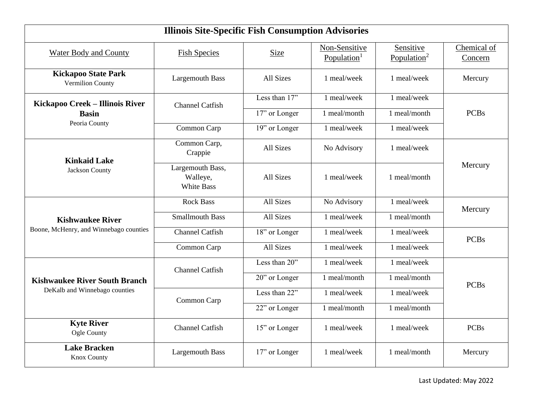| <b>Illinois Site-Specific Fish Consumption Advisories</b> |                                                   |               |                                          |                                      |                        |  |  |
|-----------------------------------------------------------|---------------------------------------------------|---------------|------------------------------------------|--------------------------------------|------------------------|--|--|
| <b>Water Body and County</b>                              | <b>Fish Species</b>                               | Size          | Non-Sensitive<br>Population <sup>1</sup> | Sensitive<br>Population <sup>2</sup> | Chemical of<br>Concern |  |  |
| <b>Kickapoo State Park</b><br>Vermilion County            | <b>Largemouth Bass</b>                            | All Sizes     | 1 meal/week                              | 1 meal/week                          | Mercury                |  |  |
| Kickapoo Creek - Illinois River                           | <b>Channel Catfish</b>                            | Less than 17" | 1 meal/week                              | 1 meal/week                          |                        |  |  |
| <b>Basin</b>                                              |                                                   | 17" or Longer | 1 meal/month                             | 1 meal/month                         | <b>PCBs</b>            |  |  |
| Peoria County                                             | Common Carp                                       | 19" or Longer | 1 meal/week                              | 1 meal/week                          |                        |  |  |
| <b>Kinkaid Lake</b>                                       | Common Carp,<br>Crappie                           | All Sizes     | No Advisory                              | 1 meal/week                          |                        |  |  |
| Jackson County                                            | Largemouth Bass,<br>Walleye,<br><b>White Bass</b> | All Sizes     | 1 meal/week                              | 1 meal/month                         | Mercury                |  |  |
|                                                           | <b>Rock Bass</b>                                  | All Sizes     | No Advisory                              | 1 meal/week                          | Mercury                |  |  |
| <b>Kishwaukee River</b>                                   | <b>Smallmouth Bass</b>                            | All Sizes     | 1 meal/week                              | 1 meal/month                         |                        |  |  |
| Boone, McHenry, and Winnebago counties                    | <b>Channel Catfish</b>                            | 18" or Longer | 1 meal/week                              | 1 meal/week                          | <b>PCBs</b>            |  |  |
|                                                           | Common Carp                                       | All Sizes     | 1 meal/week                              | 1 meal/week                          |                        |  |  |
|                                                           | <b>Channel Catfish</b>                            | Less than 20" | 1 meal/week                              | 1 meal/week                          |                        |  |  |
| <b>Kishwaukee River South Branch</b>                      |                                                   | 20" or Longer | 1 meal/month                             | 1 meal/month                         | <b>PCBs</b>            |  |  |
| DeKalb and Winnebago counties                             | Common Carp                                       | Less than 22" | 1 meal/week                              | 1 meal/week                          |                        |  |  |
|                                                           |                                                   | 22" or Longer | 1 meal/month                             | 1 meal/month                         |                        |  |  |
| <b>Kyte River</b><br>Ogle County                          | <b>Channel Catfish</b>                            | 15" or Longer | 1 meal/week                              | 1 meal/week                          | <b>PCBs</b>            |  |  |
| <b>Lake Bracken</b><br><b>Knox County</b>                 | <b>Largemouth Bass</b>                            | 17" or Longer | 1 meal/week                              | 1 meal/month                         | Mercury                |  |  |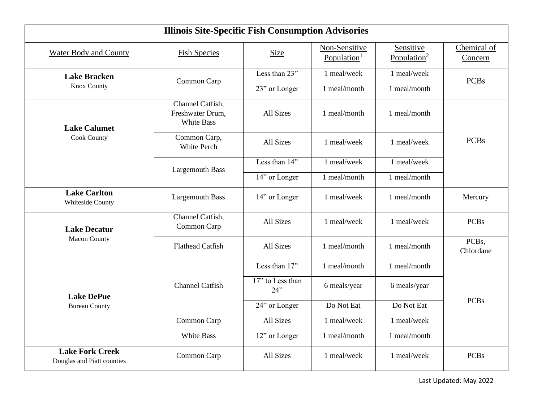| <b>Illinois Site-Specific Fish Consumption Advisories</b> |                                                    |                         |                                          |                                      |                                 |  |
|-----------------------------------------------------------|----------------------------------------------------|-------------------------|------------------------------------------|--------------------------------------|---------------------------------|--|
| <b>Water Body and County</b>                              | <b>Fish Species</b>                                | Size                    | Non-Sensitive<br>Population <sup>1</sup> | Sensitive<br>Population <sup>2</sup> | Chemical of<br>Concern          |  |
| <b>Lake Bracken</b>                                       | Common Carp                                        | Less than 23"           | 1 meal/week                              | 1 meal/week                          | <b>PCBs</b>                     |  |
| <b>Knox County</b>                                        |                                                    | 23" or Longer           | 1 meal/month                             | 1 meal/month                         |                                 |  |
| <b>Lake Calumet</b>                                       | Channel Catfish,<br>Freshwater Drum,<br>White Bass | All Sizes               | 1 meal/month                             | 1 meal/month                         |                                 |  |
| <b>Cook County</b>                                        | Common Carp,<br><b>White Perch</b>                 | All Sizes               | 1 meal/week                              | 1 meal/week                          | <b>PCBs</b>                     |  |
|                                                           | <b>Largemouth Bass</b>                             | Less than 14"           | 1 meal/week                              | 1 meal/week                          |                                 |  |
|                                                           |                                                    | 14" or Longer           | 1 meal/month                             | 1 meal/month                         |                                 |  |
| <b>Lake Carlton</b><br>Whiteside County                   | <b>Largemouth Bass</b>                             | 14" or Longer           | 1 meal/week                              | 1 meal/month                         | Mercury                         |  |
| <b>Lake Decatur</b>                                       | Channel Catfish,<br>Common Carp                    | All Sizes               | 1 meal/week                              | 1 meal/week                          | <b>PCBs</b>                     |  |
| <b>Macon County</b>                                       | <b>Flathead Catfish</b>                            | All Sizes               | 1 meal/month                             | 1 meal/month                         | PCB <sub>s</sub> ,<br>Chlordane |  |
|                                                           |                                                    | Less than 17"           | 1 meal/month                             | 1 meal/month                         |                                 |  |
| <b>Lake DePue</b>                                         | <b>Channel Catfish</b>                             | 17" to Less than<br>24" | 6 meals/year                             | 6 meals/year                         |                                 |  |
| <b>Bureau County</b>                                      |                                                    | 24" or Longer           | Do Not Eat                               | Do Not Eat                           | <b>PCBs</b>                     |  |
|                                                           | Common Carp                                        | All Sizes               | 1 meal/week                              | 1 meal/week                          |                                 |  |
|                                                           | White Bass                                         | 12" or Longer           | 1 meal/month                             | 1 meal/month                         |                                 |  |
| <b>Lake Fork Creek</b><br>Douglas and Piatt counties      | Common Carp                                        | All Sizes               | 1 meal/week                              | 1 meal/week                          | <b>PCBs</b>                     |  |

Last Updated: May 2022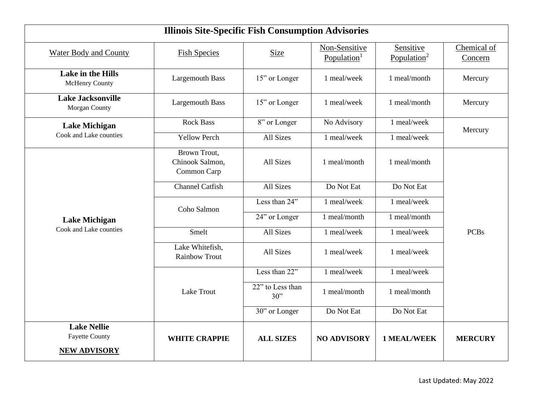|                                                                    | <b>Illinois Site-Specific Fish Consumption Advisories</b> |                         |                                          |                                      |                        |  |  |  |
|--------------------------------------------------------------------|-----------------------------------------------------------|-------------------------|------------------------------------------|--------------------------------------|------------------------|--|--|--|
| <b>Water Body and County</b>                                       | <b>Fish Species</b>                                       | Size                    | Non-Sensitive<br>Population <sup>1</sup> | Sensitive<br>Population <sup>2</sup> | Chemical of<br>Concern |  |  |  |
| Lake in the Hills<br>McHenry County                                | <b>Largemouth Bass</b>                                    | 15" or Longer           | 1 meal/week                              | 1 meal/month                         | Mercury                |  |  |  |
| <b>Lake Jacksonville</b><br>Morgan County                          | <b>Largemouth Bass</b>                                    | 15" or Longer           | 1 meal/week                              | 1 meal/month                         | Mercury                |  |  |  |
| <b>Lake Michigan</b>                                               | <b>Rock Bass</b>                                          | 8" or Longer            | No Advisory                              | 1 meal/week                          | Mercury                |  |  |  |
| Cook and Lake counties                                             | <b>Yellow Perch</b>                                       | All Sizes               | 1 meal/week                              | 1 meal/week                          |                        |  |  |  |
|                                                                    | Brown Trout,<br>Chinook Salmon,<br>Common Carp            | All Sizes               | 1 meal/month                             | 1 meal/month                         |                        |  |  |  |
|                                                                    | <b>Channel Catfish</b>                                    | All Sizes               | Do Not Eat                               | Do Not Eat                           |                        |  |  |  |
|                                                                    | Coho Salmon                                               | Less than 24"           | 1 meal/week                              | 1 meal/week                          |                        |  |  |  |
| <b>Lake Michigan</b>                                               |                                                           | 24" or Longer           | 1 meal/month                             | 1 meal/month                         |                        |  |  |  |
| Cook and Lake counties                                             | Smelt                                                     | All Sizes               | 1 meal/week                              | 1 meal/week                          | <b>PCBs</b>            |  |  |  |
|                                                                    | Lake Whitefish,<br><b>Rainbow Trout</b>                   | All Sizes               | 1 meal/week                              | 1 meal/week                          |                        |  |  |  |
|                                                                    |                                                           | Less than 22"           | 1 meal/week                              | 1 meal/week                          |                        |  |  |  |
|                                                                    | Lake Trout                                                | 22" to Less than<br>30" | 1 meal/month                             | 1 meal/month                         |                        |  |  |  |
|                                                                    |                                                           | 30" or Longer           | Do Not Eat                               | Do Not Eat                           |                        |  |  |  |
| <b>Lake Nellie</b><br><b>Fayette County</b><br><b>NEW ADVISORY</b> | <b>WHITE CRAPPIE</b>                                      | <b>ALL SIZES</b>        | <b>NO ADVISORY</b>                       | <b>1 MEAL/WEEK</b>                   | <b>MERCURY</b>         |  |  |  |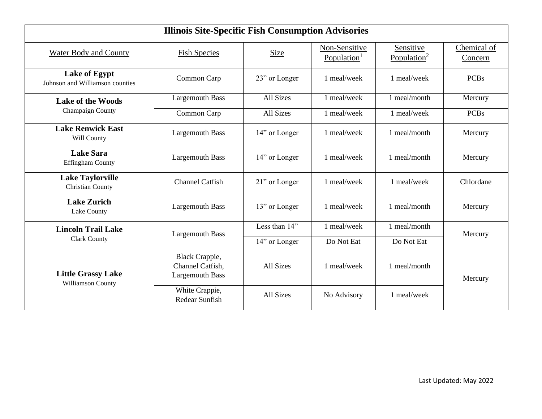| <b>Illinois Site-Specific Fish Consumption Advisories</b> |                                                              |               |                                          |                                      |                        |  |
|-----------------------------------------------------------|--------------------------------------------------------------|---------------|------------------------------------------|--------------------------------------|------------------------|--|
| <b>Water Body and County</b>                              | <b>Fish Species</b>                                          | <b>Size</b>   | Non-Sensitive<br>Population <sup>1</sup> | Sensitive<br>Population <sup>2</sup> | Chemical of<br>Concern |  |
| <b>Lake of Egypt</b><br>Johnson and Williamson counties   | Common Carp                                                  | 23" or Longer | 1 meal/week                              | 1 meal/week                          | <b>PCBs</b>            |  |
| <b>Lake of the Woods</b>                                  | <b>Largemouth Bass</b>                                       | All Sizes     | 1 meal/week                              | 1 meal/month                         | Mercury                |  |
| Champaign County                                          | Common Carp                                                  | All Sizes     | 1 meal/week                              | 1 meal/week                          | <b>PCBs</b>            |  |
| <b>Lake Renwick East</b><br>Will County                   | <b>Largemouth Bass</b>                                       | 14" or Longer | 1 meal/week                              | 1 meal/month                         | Mercury                |  |
| <b>Lake Sara</b><br><b>Effingham County</b>               | <b>Largemouth Bass</b>                                       | 14" or Longer | 1 meal/week                              | 1 meal/month                         | Mercury                |  |
| <b>Lake Taylorville</b><br>Christian County               | <b>Channel Catfish</b>                                       | 21" or Longer | 1 meal/week                              | 1 meal/week                          | Chlordane              |  |
| <b>Lake Zurich</b><br>Lake County                         | <b>Largemouth Bass</b>                                       | 13" or Longer | 1 meal/week                              | 1 meal/month                         | Mercury                |  |
| <b>Lincoln Trail Lake</b>                                 | <b>Largemouth Bass</b>                                       | Less than 14" | 1 meal/week                              | 1 meal/month                         | Mercury                |  |
| <b>Clark County</b>                                       |                                                              | 14" or Longer | Do Not Eat                               | Do Not Eat                           |                        |  |
| <b>Little Grassy Lake</b><br>Williamson County            | Black Crappie,<br>Channel Catfish,<br><b>Largemouth Bass</b> | All Sizes     | 1 meal/week                              | 1 meal/month                         | Mercury                |  |
|                                                           | White Crappie,<br>Redear Sunfish                             | All Sizes     | No Advisory                              | 1 meal/week                          |                        |  |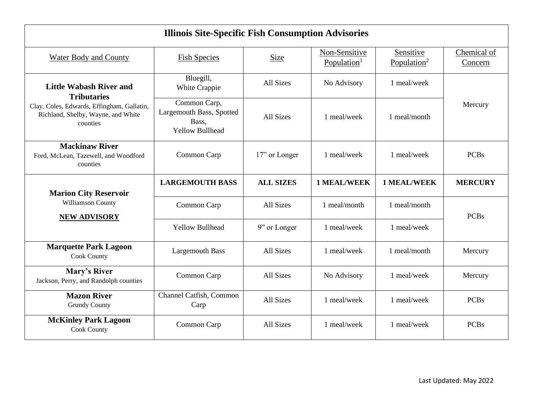| <b>Illinois Site-Specific Fish Consumption Advisories</b>                                    |                                                                             |                  |                                          |                                      |                        |  |
|----------------------------------------------------------------------------------------------|-----------------------------------------------------------------------------|------------------|------------------------------------------|--------------------------------------|------------------------|--|
| <b>Water Body and County</b>                                                                 | <b>Fish Species</b>                                                         | <b>Size</b>      | Non-Sensitive<br>Population <sup>1</sup> | Sensitive<br>Population <sup>2</sup> | Chemical of<br>Concern |  |
| <b>Little Wabash River and</b><br><b>Tributaries</b>                                         | Bluegill,<br>White Crappie                                                  | All Sizes        | No Advisory                              | 1 meal/week                          |                        |  |
| Clay, Coles, Edwards, Effingham, Gallatin,<br>Richland, Shelby, Wayne, and White<br>counties | Common Carp,<br>Largemouth Bass, Spotted<br>Bass,<br><b>Yellow Bullhead</b> | All Sizes        | 1 meal/week                              | 1 meal/month                         | Mercury                |  |
| <b>Mackinaw River</b><br>Ford, McLean, Tazewell, and Woodford<br>counties                    | Common Carp                                                                 | 17" or Longer    | 1 meal/week                              | 1 meal/week                          | <b>PCBs</b>            |  |
|                                                                                              | <b>LARGEMOUTH BASS</b>                                                      | <b>ALL SIZES</b> | <b>1 MEAL/WEEK</b>                       | <b>1 MEAL/WEEK</b>                   | <b>MERCURY</b>         |  |
| <b>Marion City Reservoir</b><br>Williamson County<br><b>NEW ADVISORY</b>                     | Common Carp                                                                 | All Sizes        | 1 meal/month                             | 1 meal/month                         | <b>PCBs</b>            |  |
|                                                                                              | <b>Yellow Bullhead</b>                                                      | 9" or Longer     | 1 meal/week                              | 1 meal/week                          |                        |  |
| <b>Marquette Park Lagoon</b><br><b>Cook County</b>                                           | <b>Largemouth Bass</b>                                                      | All Sizes        | 1 meal/week                              | 1 meal/month                         | Mercury                |  |
| Mary's River<br>Jackson, Perry, and Randolph counties                                        | Common Carp                                                                 | All Sizes        | No Advisory                              | 1 meal/week                          | Mercury                |  |
| <b>Mazon River</b><br><b>Grundy County</b>                                                   | Channel Catfish, Common<br>Carp                                             | All Sizes        | 1 meal/week                              | 1 meal/week                          | <b>PCBs</b>            |  |
| <b>McKinley Park Lagoon</b><br><b>Cook County</b>                                            | Common Carp                                                                 | All Sizes        | 1 meal/week                              | 1 meal/week                          | <b>PCBs</b>            |  |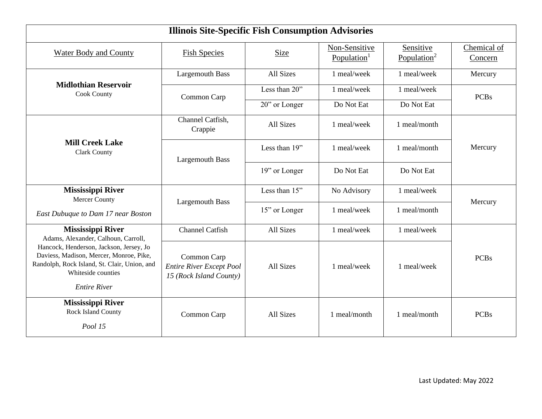| <b>Illinois Site-Specific Fish Consumption Advisories</b>                                                                                                                       |                                                                           |               |                                          |                                      |                                                                 |  |
|---------------------------------------------------------------------------------------------------------------------------------------------------------------------------------|---------------------------------------------------------------------------|---------------|------------------------------------------|--------------------------------------|-----------------------------------------------------------------|--|
| <b>Water Body and County</b>                                                                                                                                                    | <b>Fish Species</b>                                                       | Size          | Non-Sensitive<br>Population <sup>1</sup> | Sensitive<br>Population <sup>2</sup> | Chemical of<br>Concern                                          |  |
|                                                                                                                                                                                 | <b>Largemouth Bass</b>                                                    | All Sizes     | 1 meal/week                              | 1 meal/week                          | Mercury                                                         |  |
| <b>Midlothian Reservoir</b><br><b>Cook County</b>                                                                                                                               | Common Carp                                                               | Less than 20" | 1 meal/week                              | 1 meal/week                          | <b>PCBs</b><br>Mercury<br>Mercury<br><b>PCBs</b><br><b>PCBs</b> |  |
|                                                                                                                                                                                 |                                                                           | 20" or Longer | Do Not Eat                               | Do Not Eat                           |                                                                 |  |
| <b>Mill Creek Lake</b><br><b>Clark County</b>                                                                                                                                   | Channel Catfish,<br>Crappie                                               | All Sizes     | 1 meal/week                              | 1 meal/month                         |                                                                 |  |
|                                                                                                                                                                                 | <b>Largemouth Bass</b>                                                    | Less than 19" | 1 meal/week                              | 1 meal/month                         |                                                                 |  |
|                                                                                                                                                                                 |                                                                           | 19" or Longer | Do Not Eat                               | Do Not Eat                           |                                                                 |  |
| <b>Mississippi River</b><br>Mercer County                                                                                                                                       |                                                                           | Less than 15" | No Advisory                              | 1 meal/week                          |                                                                 |  |
| East Dubuque to Dam 17 near Boston                                                                                                                                              | <b>Largemouth Bass</b>                                                    | 15" or Longer | 1 meal/week                              | 1 meal/month                         |                                                                 |  |
| <b>Mississippi River</b><br>Adams, Alexander, Calhoun, Carroll,                                                                                                                 | <b>Channel Catfish</b>                                                    | All Sizes     | 1 meal/week                              | 1 meal/week                          |                                                                 |  |
| Hancock, Henderson, Jackson, Jersey, Jo<br>Daviess, Madison, Mercer, Monroe, Pike,<br>Randolph, Rock Island, St. Clair, Union, and<br>Whiteside counties<br><b>Entire River</b> | Common Carp<br><b>Entire River Except Pool</b><br>15 (Rock Island County) | All Sizes     | 1 meal/week                              | 1 meal/week                          |                                                                 |  |
| <b>Mississippi River</b><br>Rock Island County<br>Pool 15                                                                                                                       | Common Carp                                                               | All Sizes     | 1 meal/month                             | 1 meal/month                         |                                                                 |  |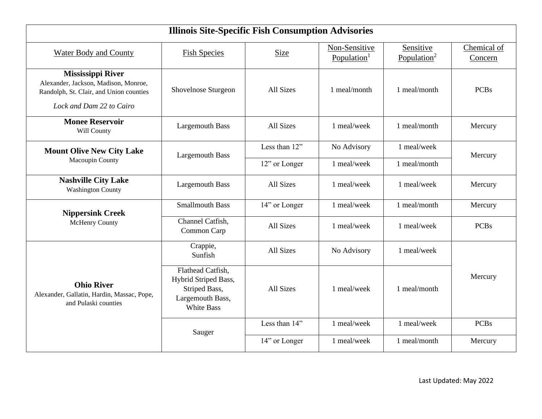|                                                                                                                                         | <b>Illinois Site-Specific Fish Consumption Advisories</b>                                           |               |                                          |                                      |                        |
|-----------------------------------------------------------------------------------------------------------------------------------------|-----------------------------------------------------------------------------------------------------|---------------|------------------------------------------|--------------------------------------|------------------------|
| Water Body and County                                                                                                                   | <b>Fish Species</b>                                                                                 | <b>Size</b>   | Non-Sensitive<br>Population <sup>1</sup> | Sensitive<br>Population <sup>2</sup> | Chemical of<br>Concern |
| <b>Mississippi River</b><br>Alexander, Jackson, Madison, Monroe,<br>Randolph, St. Clair, and Union counties<br>Lock and Dam 22 to Cairo | Shovelnose Sturgeon                                                                                 | All Sizes     | 1 meal/month                             | 1 meal/month                         | <b>PCBs</b>            |
| <b>Monee Reservoir</b><br>Will County                                                                                                   | <b>Largemouth Bass</b>                                                                              | All Sizes     | 1 meal/week                              | 1 meal/month                         | Mercury                |
| <b>Mount Olive New City Lake</b><br>Macoupin County                                                                                     | <b>Largemouth Bass</b>                                                                              | Less than 12" | No Advisory                              | 1 meal/week                          | Mercury                |
|                                                                                                                                         |                                                                                                     | 12" or Longer | 1 meal/week                              | 1 meal/month                         |                        |
| <b>Nashville City Lake</b><br><b>Washington County</b>                                                                                  | <b>Largemouth Bass</b>                                                                              | All Sizes     | 1 meal/week                              | 1 meal/week                          | Mercury                |
| <b>Nippersink Creek</b>                                                                                                                 | <b>Smallmouth Bass</b>                                                                              | 14" or Longer | 1 meal/week                              | 1 meal/month                         | Mercury                |
| McHenry County                                                                                                                          | Channel Catfish,<br>Common Carp                                                                     | All Sizes     | 1 meal/week                              | 1 meal/week                          | <b>PCBs</b>            |
|                                                                                                                                         | Crappie,<br>Sunfish                                                                                 | All Sizes     | No Advisory                              | 1 meal/week                          |                        |
| <b>Ohio River</b><br>Alexander, Gallatin, Hardin, Massac, Pope,<br>and Pulaski counties                                                 | Flathead Catfish,<br>Hybrid Striped Bass,<br>Striped Bass,<br>Largemouth Bass,<br><b>White Bass</b> | All Sizes     | 1 meal/week                              | 1 meal/month                         | Mercury                |
|                                                                                                                                         | Sauger                                                                                              | Less than 14" | 1 meal/week                              | 1 meal/week                          | <b>PCBs</b>            |
|                                                                                                                                         |                                                                                                     | 14" or Longer | 1 meal/week                              | 1 meal/month                         | Mercury                |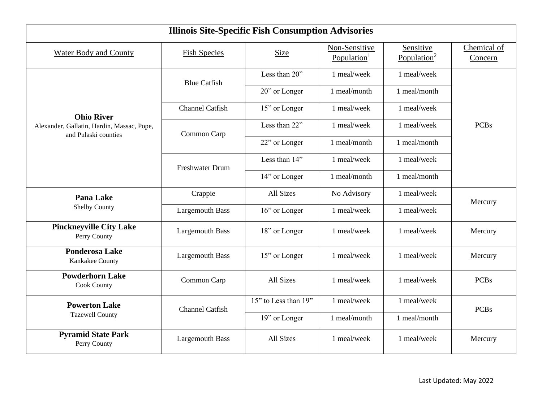| <b>Illinois Site-Specific Fish Consumption Advisories</b>          |                        |                      |                                          |                                      |                                   |
|--------------------------------------------------------------------|------------------------|----------------------|------------------------------------------|--------------------------------------|-----------------------------------|
| <b>Water Body and County</b>                                       | <b>Fish Species</b>    | Size                 | Non-Sensitive<br>Population <sup>1</sup> | Sensitive<br>Population <sup>2</sup> | Chemical of<br>Concern            |
|                                                                    | <b>Blue Catfish</b>    | Less than 20"        | 1 meal/week                              | 1 meal/week                          | <b>PCBs</b><br>Mercury<br>Mercury |
|                                                                    |                        | 20" or Longer        | 1 meal/month                             | 1 meal/month                         |                                   |
| <b>Ohio River</b>                                                  | <b>Channel Catfish</b> | 15" or Longer        | 1 meal/week                              | 1 meal/week                          |                                   |
| Alexander, Gallatin, Hardin, Massac, Pope,<br>and Pulaski counties | Common Carp            | Less than 22"        | 1 meal/week                              | 1 meal/week                          |                                   |
|                                                                    |                        | 22" or Longer        | 1 meal/month                             | 1 meal/month                         |                                   |
|                                                                    | <b>Freshwater Drum</b> | Less than 14"        | 1 meal/week                              | 1 meal/week                          |                                   |
|                                                                    |                        | 14" or Longer        | 1 meal/month                             | 1 meal/month                         |                                   |
| <b>Pana Lake</b>                                                   | Crappie                | All Sizes            | No Advisory                              | 1 meal/week                          |                                   |
| <b>Shelby County</b>                                               | <b>Largemouth Bass</b> | 16" or Longer        | 1 meal/week                              | 1 meal/week                          |                                   |
| <b>Pinckneyville City Lake</b><br>Perry County                     | <b>Largemouth Bass</b> | 18" or Longer        | 1 meal/week                              | 1 meal/week                          |                                   |
| <b>Ponderosa Lake</b><br>Kankakee County                           | <b>Largemouth Bass</b> | 15" or Longer        | 1 meal/week                              | 1 meal/week                          | Mercury                           |
| <b>Powderhorn Lake</b><br>Cook County                              | Common Carp            | All Sizes            | 1 meal/week                              | 1 meal/week                          | <b>PCBs</b>                       |
| <b>Powerton Lake</b>                                               | <b>Channel Catfish</b> | 15" to Less than 19" | 1 meal/week                              | 1 meal/week                          | <b>PCBs</b>                       |
| <b>Tazewell County</b>                                             |                        | 19" or Longer        | 1 meal/month                             | 1 meal/month                         |                                   |
| <b>Pyramid State Park</b><br>Perry County                          | <b>Largemouth Bass</b> | All Sizes            | 1 meal/week                              | 1 meal/week                          | Mercury                           |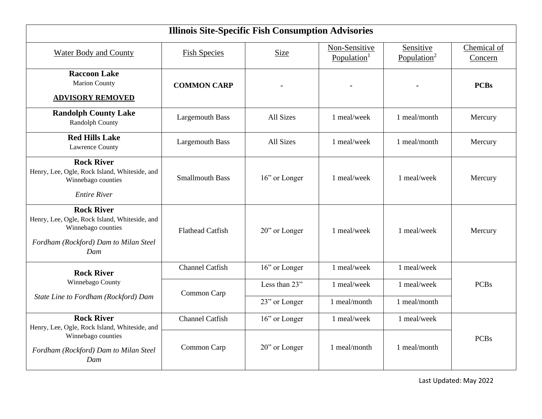| <b>Illinois Site-Specific Fish Consumption Advisories</b>                                                                                |                         |               |                                          |                                      |                        |  |
|------------------------------------------------------------------------------------------------------------------------------------------|-------------------------|---------------|------------------------------------------|--------------------------------------|------------------------|--|
| <b>Water Body and County</b>                                                                                                             | <b>Fish Species</b>     | <b>Size</b>   | Non-Sensitive<br>Population <sup>1</sup> | Sensitive<br>Population <sup>2</sup> | Chemical of<br>Concern |  |
| <b>Raccoon Lake</b><br><b>Marion County</b><br><b>ADVISORY REMOVED</b>                                                                   | <b>COMMON CARP</b>      |               |                                          |                                      | <b>PCBs</b>            |  |
| <b>Randolph County Lake</b><br><b>Randolph County</b>                                                                                    | <b>Largemouth Bass</b>  | All Sizes     | 1 meal/week                              | 1 meal/month                         | Mercury                |  |
| <b>Red Hills Lake</b><br><b>Lawrence County</b>                                                                                          | <b>Largemouth Bass</b>  | All Sizes     | 1 meal/week                              | 1 meal/month                         | Mercury                |  |
| <b>Rock River</b><br>Henry, Lee, Ogle, Rock Island, Whiteside, and<br>Winnebago counties<br><b>Entire River</b>                          | <b>Smallmouth Bass</b>  | 16" or Longer | 1 meal/week                              | 1 meal/week                          | Mercury                |  |
| <b>Rock River</b><br>Henry, Lee, Ogle, Rock Island, Whiteside, and<br>Winnebago counties<br>Fordham (Rockford) Dam to Milan Steel<br>Dam | <b>Flathead Catfish</b> | 20" or Longer | 1 meal/week                              | 1 meal/week                          | Mercury                |  |
| <b>Rock River</b>                                                                                                                        | <b>Channel Catfish</b>  | 16" or Longer | 1 meal/week                              | 1 meal/week                          |                        |  |
| Winnebago County                                                                                                                         | Common Carp             | Less than 23" | 1 meal/week                              | 1 meal/week                          | <b>PCBs</b>            |  |
| State Line to Fordham (Rockford) Dam                                                                                                     |                         | 23" or Longer | 1 meal/month                             | 1 meal/month                         |                        |  |
| <b>Rock River</b><br>Henry, Lee, Ogle, Rock Island, Whiteside, and                                                                       | <b>Channel Catfish</b>  | 16" or Longer | 1 meal/week                              | 1 meal/week                          |                        |  |
| Winnebago counties<br>Fordham (Rockford) Dam to Milan Steel<br>Dam                                                                       | Common Carp             | 20" or Longer | 1 meal/month                             | 1 meal/month                         | <b>PCBs</b>            |  |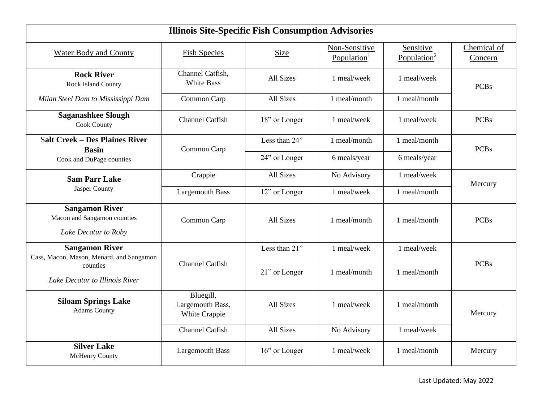| <b>Illinois Site-Specific Fish Consumption Advisories</b>                    |                                                |                  |                                          |                                      |                        |  |
|------------------------------------------------------------------------------|------------------------------------------------|------------------|------------------------------------------|--------------------------------------|------------------------|--|
| <b>Water Body and County</b>                                                 | <b>Fish Species</b>                            | Size             | Non-Sensitive<br>Population <sup>1</sup> | Sensitive<br>Population <sup>2</sup> | Chemical of<br>Concern |  |
| <b>Rock River</b><br>Rock Island County                                      | Channel Catfish,<br><b>White Bass</b>          | All Sizes        | 1 meal/week                              | 1 meal/week                          | <b>PCBs</b>            |  |
| Milan Steel Dam to Mississippi Dam                                           | Common Carp                                    | All Sizes        | 1 meal/month                             | 1 meal/month                         |                        |  |
| <b>Saganashkee Slough</b><br><b>Cook County</b>                              | <b>Channel Catfish</b>                         | 18" or Longer    | 1 meal/week                              | 1 meal/week                          | <b>PCBs</b>            |  |
| <b>Salt Creek - Des Plaines River</b><br><b>Basin</b>                        | Common Carp                                    | Less than 24"    | 1 meal/month                             | 1 meal/month                         | <b>PCBs</b>            |  |
| Cook and DuPage counties                                                     |                                                | 24" or Longer    | 6 meals/year                             | 6 meals/year                         |                        |  |
| <b>Sam Parr Lake</b>                                                         | Crappie                                        | <b>All Sizes</b> | No Advisory                              | 1 meal/week                          | Mercury                |  |
| Jasper County                                                                | <b>Largemouth Bass</b>                         | 12" or Longer    | 1 meal/week                              | 1 meal/month                         |                        |  |
| <b>Sangamon River</b><br>Macon and Sangamon counties<br>Lake Decatur to Roby | Common Carp                                    | All Sizes        | 1 meal/month                             | 1 meal/month                         | <b>PCBs</b>            |  |
| <b>Sangamon River</b><br>Cass, Macon, Mason, Menard, and Sangamon            |                                                | Less than 21"    | 1 meal/week                              | 1 meal/week                          |                        |  |
| counties<br>Lake Decatur to Illinois River                                   | <b>Channel Catfish</b>                         | 21" or Longer    | 1 meal/month                             | 1 meal/month                         | <b>PCBs</b>            |  |
| <b>Siloam Springs Lake</b><br><b>Adams County</b>                            | Bluegill,<br>Largemouth Bass,<br>White Crappie | All Sizes        | 1 meal/week                              | 1 meal/month                         | Mercury                |  |
|                                                                              | <b>Channel Catfish</b>                         | All Sizes        | No Advisory                              | 1 meal/week                          |                        |  |
| <b>Silver Lake</b><br><b>McHenry County</b>                                  | <b>Largemouth Bass</b>                         | 16" or Longer    | 1 meal/week                              | 1 meal/month                         | Mercury                |  |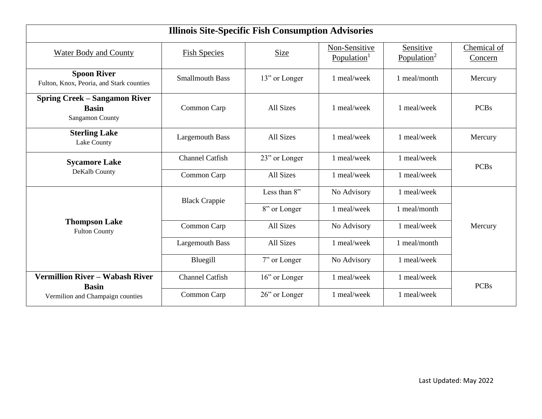| <b>Illinois Site-Specific Fish Consumption Advisories</b>                      |                        |               |                             |                                      |                        |  |
|--------------------------------------------------------------------------------|------------------------|---------------|-----------------------------|--------------------------------------|------------------------|--|
| <b>Water Body and County</b>                                                   | <b>Fish Species</b>    | Size          | Non-Sensitive<br>Population | Sensitive<br>Population <sup>2</sup> | Chemical of<br>Concern |  |
| <b>Spoon River</b><br>Fulton, Knox, Peoria, and Stark counties                 | <b>Smallmouth Bass</b> | 13" or Longer | 1 meal/week                 | 1 meal/month                         | Mercury                |  |
| <b>Spring Creek – Sangamon River</b><br><b>Basin</b><br><b>Sangamon County</b> | Common Carp            | All Sizes     | 1 meal/week                 | 1 meal/week                          | <b>PCBs</b>            |  |
| <b>Sterling Lake</b><br>Lake County                                            | <b>Largemouth Bass</b> | All Sizes     | 1 meal/week                 | 1 meal/week                          | Mercury                |  |
| <b>Sycamore Lake</b>                                                           | <b>Channel Catfish</b> | 23" or Longer | 1 meal/week                 | 1 meal/week                          | <b>PCBs</b>            |  |
| DeKalb County                                                                  | Common Carp            | All Sizes     | 1 meal/week                 | 1 meal/week                          |                        |  |
|                                                                                | <b>Black Crappie</b>   | Less than 8"  | No Advisory                 | 1 meal/week                          |                        |  |
|                                                                                |                        | 8" or Longer  | 1 meal/week                 | 1 meal/month                         |                        |  |
| <b>Thompson Lake</b><br><b>Fulton County</b>                                   | Common Carp            | All Sizes     | No Advisory                 | 1 meal/week                          | Mercury                |  |
|                                                                                | <b>Largemouth Bass</b> | All Sizes     | 1 meal/week                 | 1 meal/month                         |                        |  |
|                                                                                | Bluegill               | 7" or Longer  | No Advisory                 | 1 meal/week                          |                        |  |
| <b>Vermillion River - Wabash River</b><br><b>Basin</b>                         | <b>Channel Catfish</b> | 16" or Longer | 1 meal/week                 | 1 meal/week                          | <b>PCBs</b>            |  |
| Vermilion and Champaign counties                                               | Common Carp            | 26" or Longer | 1 meal/week                 | 1 meal/week                          |                        |  |